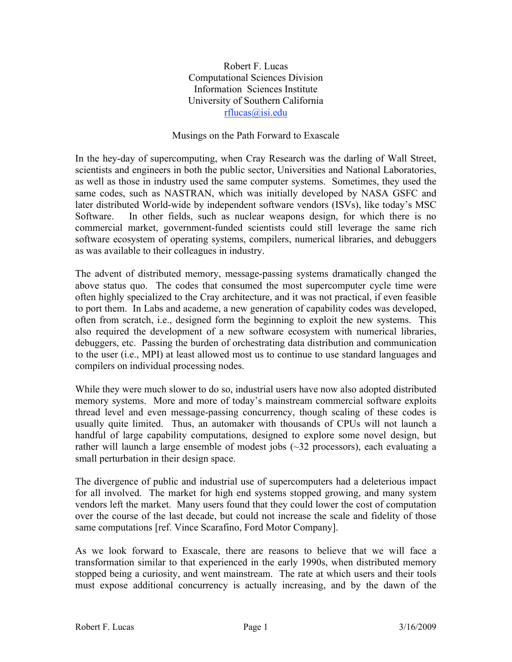Robert F. Lucas Computational Sciences Division Information Sciences Institute University of Southern California rflucas@isi.edu

## Musings on the Path Forward to Exascale

In the hey-day of supercomputing, when Cray Research was the darling of Wall Street, scientists and engineers in both the public sector, Universities and National Laboratories, as well as those in industry used the same computer systems. Sometimes, they used the same codes, such as NASTRAN, which was initially developed by NASA GSFC and later distributed World-wide by independent software vendors (ISVs), like today's MSC Software. In other fields, such as nuclear weapons design, for which there is no commercial market, government-funded scientists could still leverage the same rich software ecosystem of operating systems, compilers, numerical libraries, and debuggers as was available to their colleagues in industry.

The advent of distributed memory, message-passing systems dramatically changed the above status quo. The codes that consumed the most supercomputer cycle time were often highly specialized to the Cray architecture, and it was not practical, if even feasible to port them. In Labs and academe, a new generation of capability codes was developed, often from scratch, i.e., designed form the beginning to exploit the new systems. This also required the development of a new software ecosystem with numerical libraries, debuggers, etc. Passing the burden of orchestrating data distribution and communication to the user (i.e., MPI) at least allowed most us to continue to use standard languages and compilers on individual processing nodes.

While they were much slower to do so, industrial users have now also adopted distributed memory systems. More and more of today's mainstream commercial software exploits thread level and even message-passing concurrency, though scaling of these codes is usually quite limited. Thus, an automaker with thousands of CPUs will not launch a handful of large capability computations, designed to explore some novel design, but rather will launch a large ensemble of modest jobs (~32 processors), each evaluating a small perturbation in their design space.

The divergence of public and industrial use of supercomputers had a deleterious impact for all involved. The market for high end systems stopped growing, and many system vendors left the market. Many users found that they could lower the cost of computation over the course of the last decade, but could not increase the scale and fidelity of those same computations [ref. Vince Scarafino, Ford Motor Company].

As we look forward to Exascale, there are reasons to believe that we will face a transformation similar to that experienced in the early 1990s, when distributed memory stopped being a curiosity, and went mainstream. The rate at which users and their tools must expose additional concurrency is actually increasing, and by the dawn of the